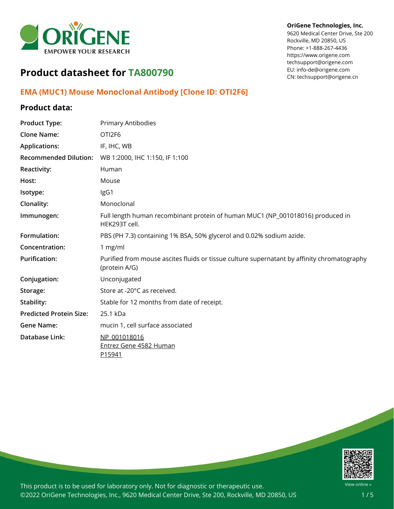

#### **OriGene Technologies, Inc.**

9620 Medical Center Drive, Ste 200 Rockville, MD 20850, US Phone: +1-888-267-4436 https://www.origene.com techsupport@origene.com EU: info-de@origene.com CN: techsupport@origene.cn

# **Product datasheet for TA800790**

## **EMA (MUC1) Mouse Monoclonal Antibody [Clone ID: OTI2F6]**

## **Product data:**

| <b>Product Type:</b>           | Primary Antibodies                                                                                           |
|--------------------------------|--------------------------------------------------------------------------------------------------------------|
| <b>Clone Name:</b>             | OTI2F6                                                                                                       |
| <b>Applications:</b>           | IF, IHC, WB                                                                                                  |
| <b>Recommended Dilution:</b>   | WB 1:2000, IHC 1:150, IF 1:100                                                                               |
| Reactivity:                    | Human                                                                                                        |
| Host:                          | Mouse                                                                                                        |
| Isotype:                       | IgG1                                                                                                         |
| Clonality:                     | Monoclonal                                                                                                   |
| Immunogen:                     | Full length human recombinant protein of human MUC1 (NP_001018016) produced in<br>HEK293T cell.              |
| Formulation:                   | PBS (PH 7.3) containing 1% BSA, 50% glycerol and 0.02% sodium azide.                                         |
| Concentration:                 | 1 mg/ml                                                                                                      |
| <b>Purification:</b>           | Purified from mouse ascites fluids or tissue culture supernatant by affinity chromatography<br>(protein A/G) |
| Conjugation:                   | Unconjugated                                                                                                 |
| Storage:                       | Store at -20°C as received.                                                                                  |
| Stability:                     | Stable for 12 months from date of receipt.                                                                   |
| <b>Predicted Protein Size:</b> | 25.1 kDa                                                                                                     |
| <b>Gene Name:</b>              | mucin 1, cell surface associated                                                                             |
| Database Link:                 | NP 001018016<br><b>Entrez Gene 4582 Human</b><br>P15941                                                      |

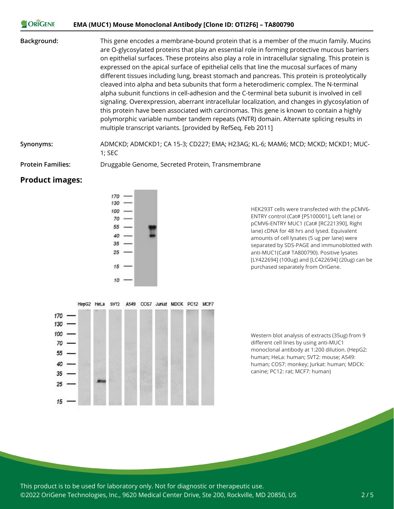#### **CORIGENE EMA (MUC1) Mouse Monoclonal Antibody [Clone ID: OTI2F6] – TA800790**

**Background:** This gene encodes a membrane-bound protein that is a member of the mucin family. Mucins are O-glycosylated proteins that play an essential role in forming protective mucous barriers on epithelial surfaces. These proteins also play a role in intracellular signaling. This protein is expressed on the apical surface of epithelial cells that line the mucosal surfaces of many different tissues including lung, breast stomach and pancreas. This protein is proteolytically cleaved into alpha and beta subunits that form a heterodimeric complex. The N-terminal alpha subunit functions in cell-adhesion and the C-terminal beta subunit is involved in cell signaling. Overexpression, aberrant intracellular localization, and changes in glycosylation of this protein have been associated with carcinomas. This gene is known to contain a highly polymorphic variable number tandem repeats (VNTR) domain. Alternate splicing results in multiple transcript variants. [provided by RefSeq, Feb 2011]

**Synonyms:** ADMCKD; ADMCKD1; CA 15-3; CD227; EMA; H23AG; KL-6; MAM6; MCD; MCKD; MCKD1; MUC-1; SEC

**Protein Families:** Druggable Genome, Secreted Protein, Transmembrane

#### **Product images:**



HEK293T cells were transfected with the pCMV6- ENTRY control (Cat# [PS100001], Left lane) or pCMV6-ENTRY MUC1 (Cat# [RC221390], Right lane) cDNA for 48 hrs and lysed. Equivalent amounts of cell lysates (5 ug per lane) were separated by SDS-PAGE and immunoblotted with anti-MUC1(Cat# TA800790). Positive lysates [LY422694] (100ug) and [LC422694] (20ug) can be purchased separately from OriGene.



Western blot analysis of extracts (35ug) from 9 different cell lines by using anti-MUC1 monoclonal antibody at 1:200 dilution. (HepG2: human; HeLa: human; SVT2: mouse; A549: human; COS7: monkey; Jurkat: human; MDCK: canine; PC12: rat; MCF7: human)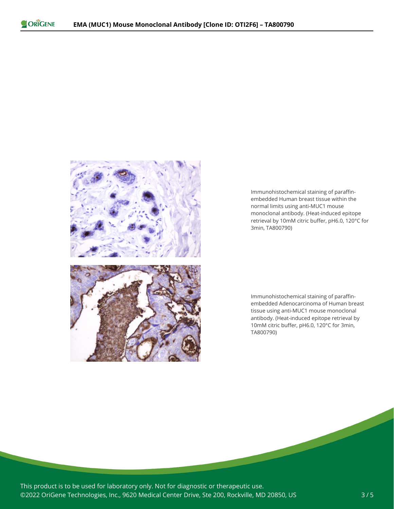

Immunohistochemical staining of paraffinembedded Human breast tissue within the normal limits using anti-MUC1 mouse monoclonal antibody. (Heat-induced epitope retrieval by 10mM citric buffer, pH6.0, 120°C for 3min, TA800790)

Immunohistochemical staining of paraffinembedded Adenocarcinoma of Human breast tissue using anti-MUC1 mouse monoclonal antibody. (Heat-induced epitope retrieval by 10mM citric buffer, pH6.0, 120°C for 3min, TA800790)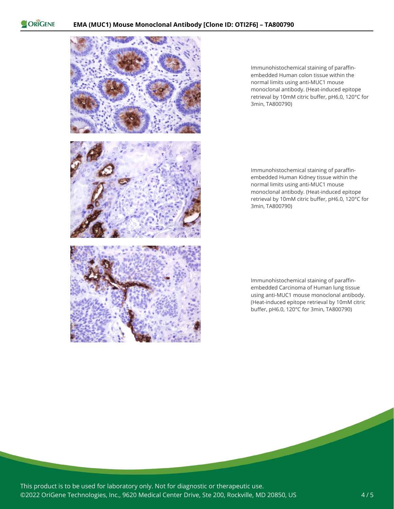ORIGENE



Immunohistochemical staining of paraffinembedded Human colon tissue within the normal limits using anti-MUC1 mouse monoclonal antibody. (Heat-induced epitope retrieval by 10mM citric buffer, pH6.0, 120°C for 3min, TA800790)

Immunohistochemical staining of paraffinembedded Human Kidney tissue within the normal limits using anti-MUC1 mouse monoclonal antibody. (Heat-induced epitope retrieval by 10mM citric buffer, pH6.0, 120°C for 3min, TA800790)

Immunohistochemical staining of paraffinembedded Carcinoma of Human lung tissue using anti-MUC1 mouse monoclonal antibody. (Heat-induced epitope retrieval by 10mM citric buffer, pH6.0, 120°C for 3min, TA800790)